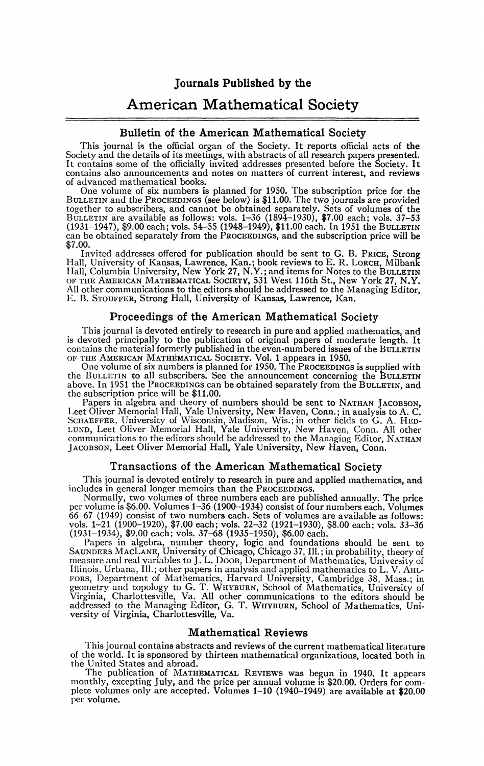Journals Published by the

# American Mathematical Society

## Bulletin of the American Mathematical Society

This journal is the official organ of the Society. It reports official acts of the Society and the details of its meetings, with abstracts of all research papers presented. It contains some of the officially invited addres contains also announcements and notes on matters of current interest, and reviews of advanced mathematical books.

One volume of six numbers is planned for 1950. The subscription price for the BULLETIN and the PROCEEDINGS (see below) is \$11.00. The two journals are provided together to subscribers, and cannot be obtained separately. S can be obtained separately from the PROCEEDINGS, and the subscription price will be \$7.00.

Invited addresses offered for publication should be sent to G. B. PRICE, Strong Hall, University of Kansas, Lawrence, Kan.; book reviews to E. R. LORCH, Milbank<br>Hall, Columbia University, New York 27, N.Y.; and items for Notes to the BULLETIN<br>OF THE AMERICAN MATHEMATICAL SOCIETY, 531 West 116th St., N E. B. STOUFFER, Strong Hall, University of Kansas, Lawrence, Kan.

### Proceedings of the American Mathematical Society

This journal is devoted entirely to research in pure and applied mathematics, and is devoted principally to the publication of original papers of moderate length. It contains the material formerly published in the even-numbered issues of the BULLETIN OF THE AMERICAN MATHEMATICAL SOCIETY. Vol. 1 appears in 1950. One volume of six numbers is planned for 1950. The PROCEEDINGS is supplied with

the BULLETIN to all subscribers. See the announcement concerning the BULLETIN above. In 1951 the PROCEEDINGS can be obtained separately from the BULLETIN, and the subscription price will be \$11.00.

Papers in algebra and theory of numbers should be sent to NATHAN JACOBSON, Leet Oliver Memorial Hall, Yale University, New Haven, Conn.; in analysis to A. C. SCHAEFFER, University of Wisconsin, Madison, Wis.; in other fiel

# Transactions of the American Mathematical Society

This journal is devoted entirely to research in pure and applied mathematics, and includes in general longer memoirs than the PROCEEDINGS.

Normally, two volumes of three numbers each are published annually. The price per volume is \$6.00. Volumes 1–36 (1900–1934) consist of four numbers each. Volumes 66–67 (1949) consist of two numbers each. Sets of volumes are available as follows: vols. 1–21 (1900–1920), \$7.00 each; vols. 22–32 (1921–

Illinois, Urbana, 111.; other papers in analysis and applied mathematics to L. V. AHL-FORS, Department of Mathematics, Harvard University, Cambridge 38, Mass.; in geometry and topology to G. T. WHYBURN, School of Mathematics, University of Virginia, Charlottesville, Va. All other communications to the edito

## Mathematical Reviews

This journal contains abstracts and reviews of the current mathematical literature of the world. It is sponsored by thirteen mathematical organizations, located both in the United States and abroad.

The publication of MATHEMATICAL REVIEWS was begun in 1940. It appears monthly, excepting July, and the price per annual volume is \$20.00. Orders for com-plete volumes only are accepted. Volumes 1—10 (1940—1949) are available at \$20.00 per volume.